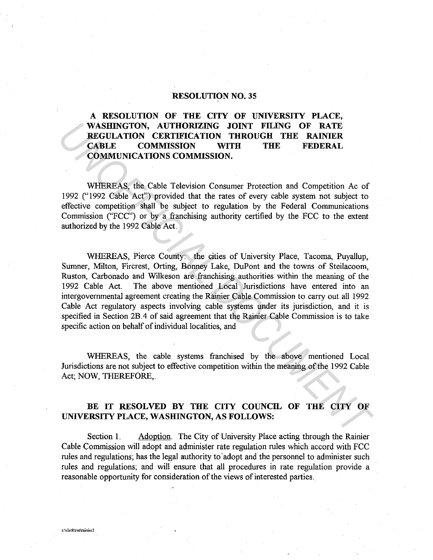## **RESOLUTION NO. 35**

## **A RESOLUTION OF THE CITY OF UNIVERSITY PLACE, WASHINGTON, AUTHORIZING JOINT FILING OF RATE REGULATION CERTIFICATION THROUGH THE RAINIER CABLE COMMISSION WITH THE FEDERAL COMMUNICATIONS COMMISSION.**

WHEREAS, the Cable Television Consumer Protection and Competition Ac of 1992 (" 1992 Cable Act") provided that the rates of every cable system not subject to effective competition shall be subject to regulation by the Federal Communications Commission ("FCC") or by a franchising authority certified by the FCC to the extent authorized by the 1992 Cable Act.

WHEREAS, Pierce County: the cities of University Place, Tacoma, Puyallup, Sumner, Milton, Fircrest, Orting, Bonney Lake, DuPont and the towns of Steilacoom, Ruston, Carbonado and Wilkeson are franchising authorities within the meaning of the 1992 Cable Act. The above mentioned Local Jurisdictions have entered into an intergovernmental agreement creating the Rainier Cable Commission to carry out all 1992 Cable Act regulatory aspects involving cable systems under its jurisdiction, and it is specified in Section 2B .4 of said agreement that the Rainier Cable Commission is to take specific action on behalf of individual localities, and **WABIENCATION CAUTHORIZING JOINT FILING OF RATE RAINIER REGULATION THEOURY THEOUR THE RAINIER CABLE COMMUNICATIONS COMMISSION** THROUGH THE RAINIER COMMUNICATIONS COMMISSION.<br>
WHEREAS, the Cable Felevision Consumer Protecti

WHEREAS, the cable systems franchised by the above mentioned Local Jurisdictions are not subject to effective competition within the meaning of the 1992 Cable Act; NOW, THEREFORE,.

## **BE IT RESOLVED BY THE CITY COUNCIL OF THE CITY OF UNIVERSITY PLACE, WASHINGTON, AS FOLLOWS:**

Section 1. Adoption. The City of University Place acting through the Rainier Cable Commission will adopt and administer rate regulation rules which accord with FCC rules and regulations; has the legal authority to adopt and the personnel to administer such rules and regulations; and will ensure that all procedures in rate regulation provide a reasonable opportunity for consideration of the views of interested parties.